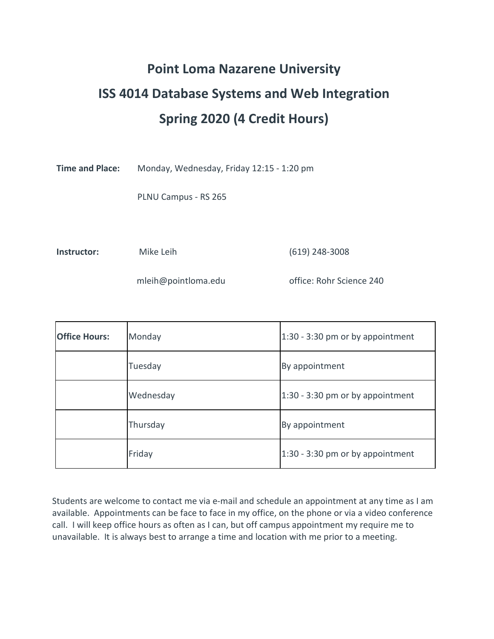# **Point Loma Nazarene University ISS 4014 Database Systems and Web Integration Spring 2020 (4 Credit Hours)**

**Time and Place:** Monday, Wednesday, Friday 12:15 - 1:20 pm

PLNU Campus - RS 265

**Instructor:** Mike Leih (619) 248-3008

mleih@pointloma.edu office: Rohr Science 240

| <b>Office Hours:</b> | Monday    | 1:30 - 3:30 pm or by appointment |
|----------------------|-----------|----------------------------------|
|                      | Tuesday   | By appointment                   |
|                      | Wednesday | 1:30 - 3:30 pm or by appointment |
|                      | Thursday  | By appointment                   |
|                      | Friday    | 1:30 - 3:30 pm or by appointment |

Students are welcome to contact me via e-mail and schedule an appointment at any time as I am available. Appointments can be face to face in my office, on the phone or via a video conference call. I will keep office hours as often as I can, but off campus appointment my require me to unavailable. It is always best to arrange a time and location with me prior to a meeting.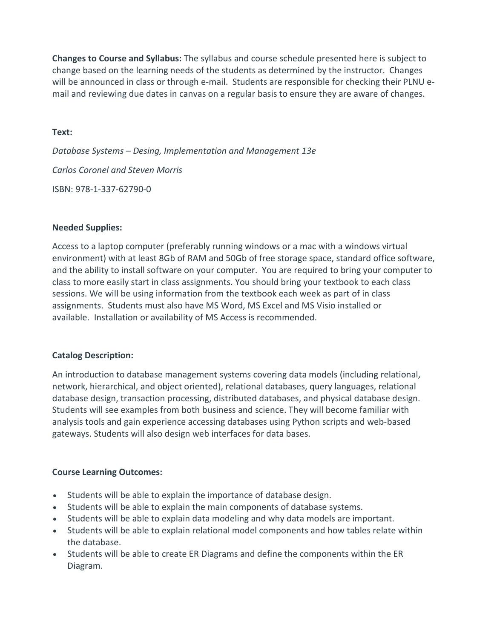**Changes to Course and Syllabus:** The syllabus and course schedule presented here is subject to change based on the learning needs of the students as determined by the instructor. Changes will be announced in class or through e-mail. Students are responsible for checking their PLNU email and reviewing due dates in canvas on a regular basis to ensure they are aware of changes.

## **Text:**

*Database Systems – Desing, Implementation and Management 13e Carlos Coronel and Steven Morris* ISBN: 978-1-337-62790-0

## **Needed Supplies:**

Access to a laptop computer (preferably running windows or a mac with a windows virtual environment) with at least 8Gb of RAM and 50Gb of free storage space, standard office software, and the ability to install software on your computer. You are required to bring your computer to class to more easily start in class assignments. You should bring your textbook to each class sessions. We will be using information from the textbook each week as part of in class assignments. Students must also have MS Word, MS Excel and MS Visio installed or available. Installation or availability of MS Access is recommended.

## **Catalog Description:**

An introduction to database management systems covering data models (including relational, network, hierarchical, and object oriented), relational databases, query languages, relational database design, transaction processing, distributed databases, and physical database design. Students will see examples from both business and science. They will become familiar with analysis tools and gain experience accessing databases using Python scripts and web‐based gateways. Students will also design web interfaces for data bases.

# **Course Learning Outcomes:**

- Students will be able to explain the importance of database design.
- Students will be able to explain the main components of database systems.
- Students will be able to explain data modeling and why data models are important.
- Students will be able to explain relational model components and how tables relate within the database.
- Students will be able to create ER Diagrams and define the components within the ER Diagram.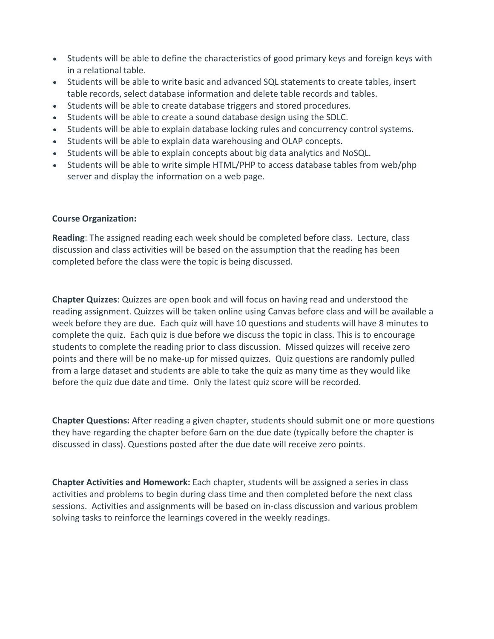- Students will be able to define the characteristics of good primary keys and foreign keys with in a relational table.
- Students will be able to write basic and advanced SQL statements to create tables, insert table records, select database information and delete table records and tables.
- Students will be able to create database triggers and stored procedures.
- Students will be able to create a sound database design using the SDLC.
- Students will be able to explain database locking rules and concurrency control systems.
- Students will be able to explain data warehousing and OLAP concepts.
- Students will be able to explain concepts about big data analytics and NoSQL.
- Students will be able to write simple HTML/PHP to access database tables from web/php server and display the information on a web page.

#### **Course Organization:**

**Reading**: The assigned reading each week should be completed before class. Lecture, class discussion and class activities will be based on the assumption that the reading has been completed before the class were the topic is being discussed.

**Chapter Quizzes**: Quizzes are open book and will focus on having read and understood the reading assignment. Quizzes will be taken online using Canvas before class and will be available a week before they are due. Each quiz will have 10 questions and students will have 8 minutes to complete the quiz. Each quiz is due before we discuss the topic in class. This is to encourage students to complete the reading prior to class discussion. Missed quizzes will receive zero points and there will be no make-up for missed quizzes. Quiz questions are randomly pulled from a large dataset and students are able to take the quiz as many time as they would like before the quiz due date and time. Only the latest quiz score will be recorded.

**Chapter Questions:** After reading a given chapter, students should submit one or more questions they have regarding the chapter before 6am on the due date (typically before the chapter is discussed in class). Questions posted after the due date will receive zero points.

**Chapter Activities and Homework:** Each chapter, students will be assigned a series in class activities and problems to begin during class time and then completed before the next class sessions. Activities and assignments will be based on in-class discussion and various problem solving tasks to reinforce the learnings covered in the weekly readings.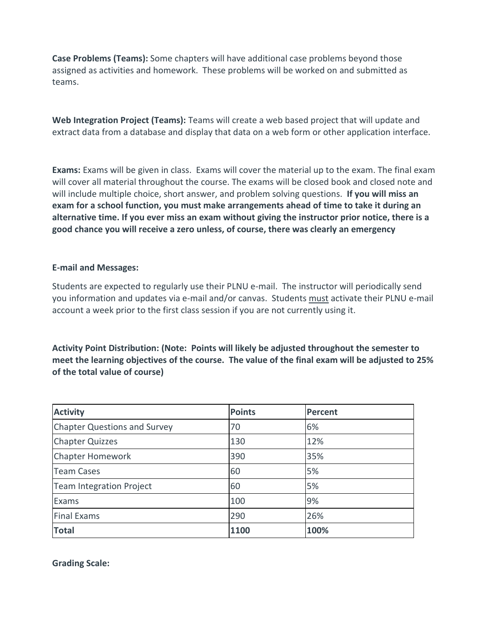**Case Problems (Teams):** Some chapters will have additional case problems beyond those assigned as activities and homework. These problems will be worked on and submitted as teams.

**Web Integration Project (Teams):** Teams will create a web based project that will update and extract data from a database and display that data on a web form or other application interface.

**Exams:** Exams will be given in class. Exams will cover the material up to the exam. The final exam will cover all material throughout the course. The exams will be closed book and closed note and will include multiple choice, short answer, and problem solving questions. **If you will miss an exam for a school function, you must make arrangements ahead of time to take it during an alternative time. If you ever miss an exam without giving the instructor prior notice, there is a good chance you will receive a zero unless, of course, there was clearly an emergency**

## **E-mail and Messages:**

Students are expected to regularly use their PLNU e-mail. The instructor will periodically send you information and updates via e-mail and/or canvas. Students must activate their PLNU e-mail account a week prior to the first class session if you are not currently using it.

**Activity Point Distribution: (Note: Points will likely be adjusted throughout the semester to meet the learning objectives of the course. The value of the final exam will be adjusted to 25% of the total value of course)**

| <b>Activity</b>                     | <b>Points</b> | Percent |
|-------------------------------------|---------------|---------|
| <b>Chapter Questions and Survey</b> | 70            | 6%      |
| <b>Chapter Quizzes</b>              | 130           | 12%     |
| Chapter Homework                    | 390           | 35%     |
| <b>Team Cases</b>                   | 60            | 5%      |
| Team Integration Project            | 60            | 5%      |
| Exams                               | 100           | 9%      |
| <b>Final Exams</b>                  | 290           | 26%     |
| <b>Total</b>                        | 1100          | 100%    |

**Grading Scale:**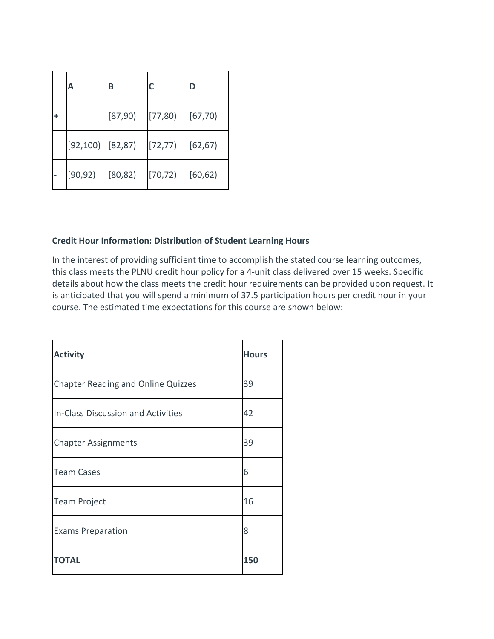|   | А                      | В        | C        | D        |
|---|------------------------|----------|----------|----------|
| ٠ |                        | [87, 90) | [77, 80] | [67, 70] |
|   | $[92, 100]$ $[82, 87]$ |          | [72, 77] | [62, 67] |
|   | [90, 92]               | [80, 82] | [70, 72) | (60, 62) |

# **Credit Hour Information: Distribution of Student Learning Hours**

In the interest of providing sufficient time to accomplish the stated course learning outcomes, this class meets the PLNU credit hour policy for a 4-unit class delivered over 15 weeks. Specific details about how the class meets the credit hour requirements can be provided upon request. It is anticipated that you will spend a minimum of 37.5 participation hours per credit hour in your course. The estimated time expectations for this course are shown below:

| <b>Activity</b>                           | <b>Hours</b> |
|-------------------------------------------|--------------|
| <b>Chapter Reading and Online Quizzes</b> | 39           |
| In-Class Discussion and Activities        | 42           |
| <b>Chapter Assignments</b>                | 39           |
| <b>Team Cases</b>                         | 6            |
| <b>Team Project</b>                       | 16           |
| <b>Exams Preparation</b>                  | 8            |
| <b>TOTAL</b>                              | 150          |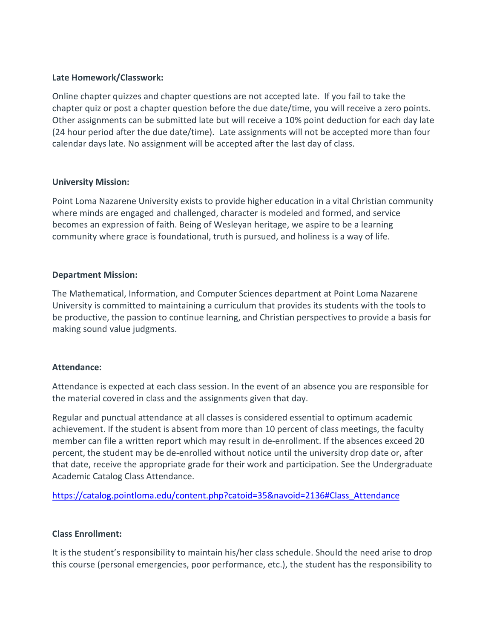## **Late Homework/Classwork:**

Online chapter quizzes and chapter questions are not accepted late. If you fail to take the chapter quiz or post a chapter question before the due date/time, you will receive a zero points. Other assignments can be submitted late but will receive a 10% point deduction for each day late (24 hour period after the due date/time). Late assignments will not be accepted more than four calendar days late. No assignment will be accepted after the last day of class.

## **University Mission:**

Point Loma Nazarene University exists to provide higher education in a vital Christian community where minds are engaged and challenged, character is modeled and formed, and service becomes an expression of faith. Being of Wesleyan heritage, we aspire to be a learning community where grace is foundational, truth is pursued, and holiness is a way of life.

## **Department Mission:**

The Mathematical, Information, and Computer Sciences department at Point Loma Nazarene University is committed to maintaining a curriculum that provides its students with the tools to be productive, the passion to continue learning, and Christian perspectives to provide a basis for making sound value judgments.

## **Attendance:**

Attendance is expected at each class session. In the event of an absence you are responsible for the material covered in class and the assignments given that day.

Regular and punctual attendance at all classes is considered essential to optimum academic achievement. If the student is absent from more than 10 percent of class meetings, the faculty member can file a written report which may result in de-enrollment. If the absences exceed 20 percent, the student may be de-enrolled without notice until the university drop date or, after that date, receive the appropriate grade for their work and participation. See the Undergraduate Academic Catalog Class Attendance.

[https://catalog.pointloma.edu/content.php?catoid=35&navoid=2136#Class\\_Attendance](https://catalog.pointloma.edu/content.php?catoid=35&navoid=2136#Class_Attendance)

# **Class Enrollment:**

It is the student's responsibility to maintain his/her class schedule. Should the need arise to drop this course (personal emergencies, poor performance, etc.), the student has the responsibility to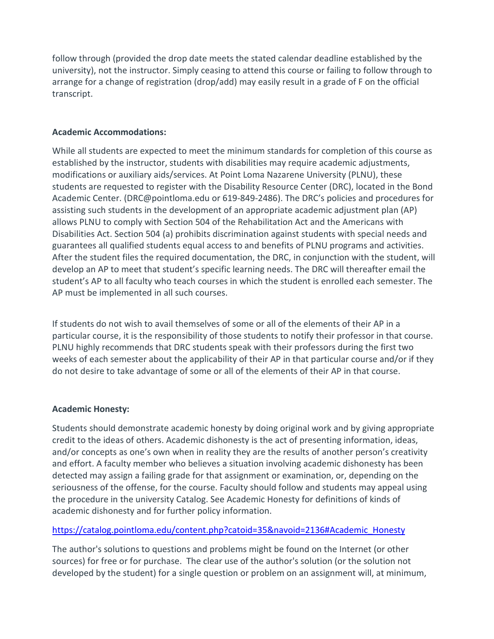follow through (provided the drop date meets the stated calendar deadline established by the university), not the instructor. Simply ceasing to attend this course or failing to follow through to arrange for a change of registration (drop/add) may easily result in a grade of F on the official transcript.

## **Academic Accommodations:**

While all students are expected to meet the minimum standards for completion of this course as established by the instructor, students with disabilities may require academic adjustments, modifications or auxiliary aids/services. At Point Loma Nazarene University (PLNU), these students are requested to register with the Disability Resource Center (DRC), located in the Bond Academic Center. (DRC@pointloma.edu or 619-849-2486). The DRC's policies and procedures for assisting such students in the development of an appropriate academic adjustment plan (AP) allows PLNU to comply with Section 504 of the Rehabilitation Act and the Americans with Disabilities Act. Section 504 (a) prohibits discrimination against students with special needs and guarantees all qualified students equal access to and benefits of PLNU programs and activities. After the student files the required documentation, the DRC, in conjunction with the student, will develop an AP to meet that student's specific learning needs. The DRC will thereafter email the student's AP to all faculty who teach courses in which the student is enrolled each semester. The AP must be implemented in all such courses.

If students do not wish to avail themselves of some or all of the elements of their AP in a particular course, it is the responsibility of those students to notify their professor in that course. PLNU highly recommends that DRC students speak with their professors during the first two weeks of each semester about the applicability of their AP in that particular course and/or if they do not desire to take advantage of some or all of the elements of their AP in that course.

## **Academic Honesty:**

Students should demonstrate academic honesty by doing original work and by giving appropriate credit to the ideas of others. Academic dishonesty is the act of presenting information, ideas, and/or concepts as one's own when in reality they are the results of another person's creativity and effort. A faculty member who believes a situation involving academic dishonesty has been detected may assign a failing grade for that assignment or examination, or, depending on the seriousness of the offense, for the course. Faculty should follow and students may appeal using the procedure in the university Catalog. See Academic Honesty for definitions of kinds of academic dishonesty and for further policy information.

# [https://catalog.pointloma.edu/content.php?catoid=35&navoid=2136#Academic\\_Honesty](https://catalog.pointloma.edu/content.php?catoid=35&navoid=2136#Academic_Honesty)

The author's solutions to questions and problems might be found on the Internet (or other sources) for free or for purchase. The clear use of the author's solution (or the solution not developed by the student) for a single question or problem on an assignment will, at minimum,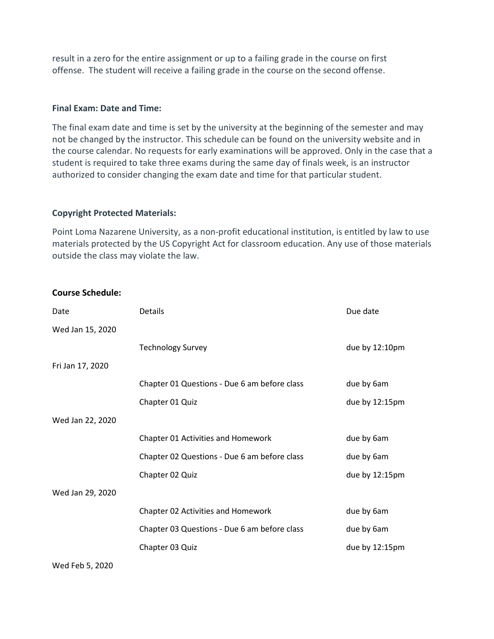result in a zero for the entire assignment or up to a failing grade in the course on first offense. The student will receive a failing grade in the course on the second offense.

#### **Final Exam: Date and Time:**

The final exam date and time is set by the university at the beginning of the semester and may not be changed by the instructor. This schedule can be found on the university website and in the course calendar. No requests for early examinations will be approved. Only in the case that a student is required to take three exams during the same day of finals week, is an instructor authorized to consider changing the exam date and time for that particular student.

## **Copyright Protected Materials:**

Point Loma Nazarene University, as a non-profit educational institution, is entitled by law to use materials protected by the US Copyright Act for classroom education. Any use of those materials outside the class may violate the law.

## **Course Schedule:**

| Date             | <b>Details</b>                               | Due date       |
|------------------|----------------------------------------------|----------------|
| Wed Jan 15, 2020 |                                              |                |
|                  | <b>Technology Survey</b>                     | due by 12:10pm |
| Fri Jan 17, 2020 |                                              |                |
|                  | Chapter 01 Questions - Due 6 am before class | due by 6am     |
|                  | Chapter 01 Quiz                              | due by 12:15pm |
| Wed Jan 22, 2020 |                                              |                |
|                  | Chapter 01 Activities and Homework           | due by 6am     |
|                  | Chapter 02 Questions - Due 6 am before class | due by 6am     |
|                  | Chapter 02 Quiz                              | due by 12:15pm |
| Wed Jan 29, 2020 |                                              |                |
|                  | Chapter 02 Activities and Homework           | due by 6am     |
|                  | Chapter 03 Questions - Due 6 am before class | due by 6am     |
|                  | Chapter 03 Quiz                              | due by 12:15pm |
|                  |                                              |                |

Wed Feb 5, 2020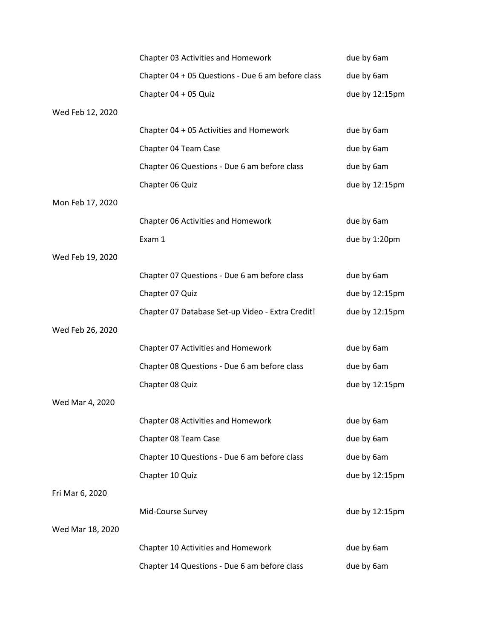|                  | Chapter 03 Activities and Homework                | due by 6am     |
|------------------|---------------------------------------------------|----------------|
|                  | Chapter 04 + 05 Questions - Due 6 am before class | due by 6am     |
|                  | Chapter 04 + 05 Quiz                              | due by 12:15pm |
| Wed Feb 12, 2020 |                                                   |                |
|                  | Chapter 04 + 05 Activities and Homework           | due by 6am     |
|                  | Chapter 04 Team Case                              | due by 6am     |
|                  | Chapter 06 Questions - Due 6 am before class      | due by 6am     |
|                  | Chapter 06 Quiz                                   | due by 12:15pm |
| Mon Feb 17, 2020 |                                                   |                |
|                  | Chapter 06 Activities and Homework                | due by 6am     |
|                  | Exam 1                                            | due by 1:20pm  |
| Wed Feb 19, 2020 |                                                   |                |
|                  | Chapter 07 Questions - Due 6 am before class      | due by 6am     |
|                  | Chapter 07 Quiz                                   | due by 12:15pm |
|                  | Chapter 07 Database Set-up Video - Extra Credit!  | due by 12:15pm |
| Wed Feb 26, 2020 |                                                   |                |
|                  | Chapter 07 Activities and Homework                | due by 6am     |
|                  | Chapter 08 Questions - Due 6 am before class      | due by 6am     |
|                  | Chapter 08 Quiz                                   | due by 12:15pm |
| Wed Mar 4, 2020  |                                                   |                |
|                  | Chapter 08 Activities and Homework                | due by 6am     |
|                  | Chapter 08 Team Case                              | due by 6am     |
|                  | Chapter 10 Questions - Due 6 am before class      | due by 6am     |
|                  | Chapter 10 Quiz                                   | due by 12:15pm |
| Fri Mar 6, 2020  |                                                   |                |
|                  | Mid-Course Survey                                 | due by 12:15pm |
| Wed Mar 18, 2020 |                                                   |                |
|                  | Chapter 10 Activities and Homework                | due by 6am     |
|                  | Chapter 14 Questions - Due 6 am before class      | due by 6am     |